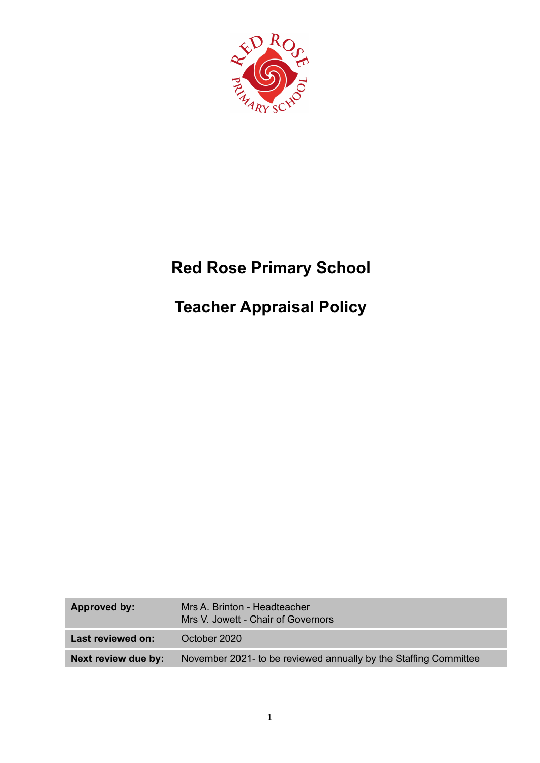

# **Red Rose Primary School**

# **Teacher Appraisal Policy**

| Approved by:        | Mrs A. Brinton - Headteacher<br>Mrs V. Jowett - Chair of Governors |
|---------------------|--------------------------------------------------------------------|
| Last reviewed on:   | October 2020                                                       |
| Next review due by: | November 2021- to be reviewed annually by the Staffing Committee   |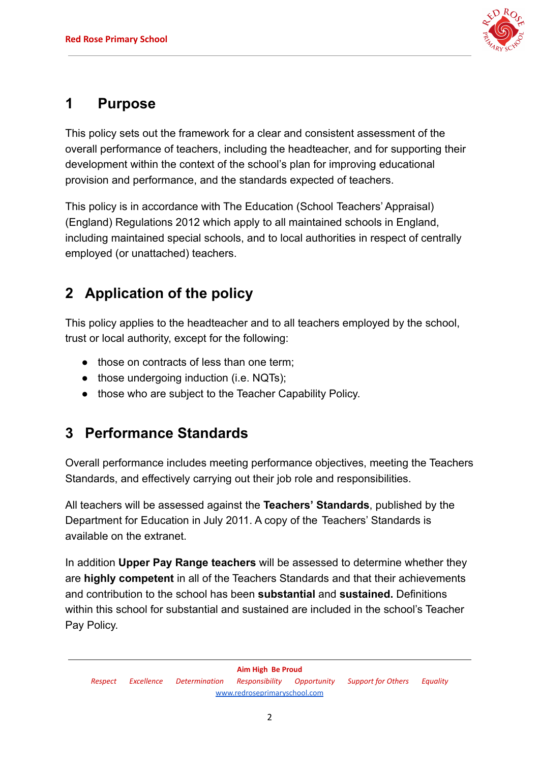

## **1 Purpose**

This policy sets out the framework for a clear and consistent assessment of the overall performance of teachers, including the headteacher, and for supporting their development within the context of the school's plan for improving educational provision and performance, and the standards expected of teachers.

This policy is in accordance with The Education (School Teachers' Appraisal) (England) Regulations 2012 which apply to all maintained schools in England, including maintained special schools, and to local authorities in respect of centrally employed (or unattached) teachers.

# **2 Application of the policy**

This policy applies to the headteacher and to all teachers employed by the school, trust or local authority, except for the following:

- those on contracts of less than one term:
- those undergoing induction (i.e. NQTs);
- *●* those who are subject to the Teacher Capability Policy.

# **3 Performance Standards**

Overall performance includes meeting performance objectives, meeting the Teachers Standards, and effectively carrying out their job role and responsibilities.

All teachers will be assessed against the **Teachers' Standards**, published by the Department for Education in July 2011. A copy of the Teachers' Standards is available on the extranet.

In addition **Upper Pay Range teachers** will be assessed to determine whether they are **highly competent** in all of the Teachers Standards and that their achievements and contribution to the school has been **substantial** and **sustained.** Definitions within this school for substantial and sustained are included in the school's Teacher Pay Policy.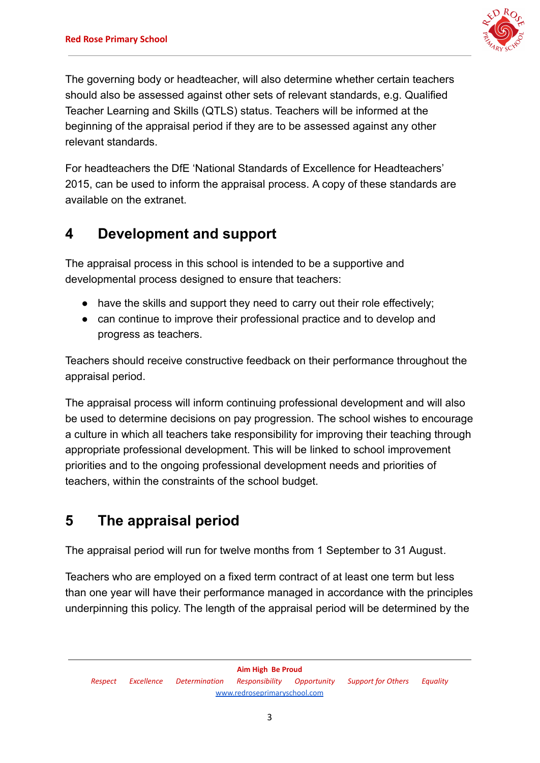

The governing body or headteacher, will also determine whether certain teachers should also be assessed against other sets of relevant standards, e.g. Qualified Teacher Learning and Skills (QTLS) status. Teachers will be informed at the beginning of the appraisal period if they are to be assessed against any other relevant standards.

For headteachers the DfE 'National Standards of Excellence for Headteachers' 2015, can be used to inform the appraisal process. A copy of these standards are available on the extranet.

## **4 Development and support**

The appraisal process in this school is intended to be a supportive and developmental process designed to ensure that teachers:

- have the skills and support they need to carry out their role effectively;
- can continue to improve their professional practice and to develop and progress as teachers.

Teachers should receive constructive feedback on their performance throughout the appraisal period.

The appraisal process will inform continuing professional development and will also be used to determine decisions on pay progression. The school wishes to encourage a culture in which all teachers take responsibility for improving their teaching through appropriate professional development. This will be linked to school improvement priorities and to the ongoing professional development needs and priorities of teachers, within the constraints of the school budget.

# **5 The appraisal period**

The appraisal period will run for twelve months from 1 September to 31 August*.*

Teachers who are employed on a fixed term contract of at least one term but less than one year will have their performance managed in accordance with the principles underpinning this policy. The length of the appraisal period will be determined by the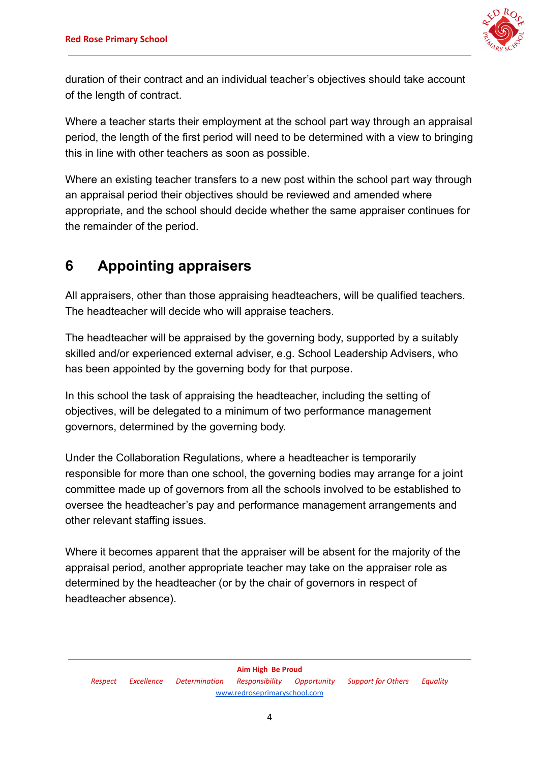

duration of their contract and an individual teacher's objectives should take account of the length of contract.

Where a teacher starts their employment at the school part way through an appraisal period, the length of the first period will need to be determined with a view to bringing this in line with other teachers as soon as possible.

Where an existing teacher transfers to a new post within the school part way through an appraisal period their objectives should be reviewed and amended where appropriate, and the school should decide whether the same appraiser continues for the remainder of the period.

# **6 Appointing appraisers**

All appraisers, other than those appraising headteachers, will be qualified teachers. The headteacher will decide who will appraise teachers.

The headteacher will be appraised by the governing body, supported by a suitably skilled and/or experienced external adviser, e.g. School Leadership Advisers, who has been appointed by the governing body for that purpose.

In this school the task of appraising the headteacher, including the setting of objectives, will be delegated to a minimum of two performance management governors, determined by the governing body.

Under the Collaboration Regulations, where a headteacher is temporarily responsible for more than one school, the governing bodies may arrange for a joint committee made up of governors from all the schools involved to be established to oversee the headteacher's pay and performance management arrangements and other relevant staffing issues.

Where it becomes apparent that the appraiser will be absent for the majority of the appraisal period, another appropriate teacher may take on the appraiser role as determined by the headteacher (or by the chair of governors in respect of headteacher absence).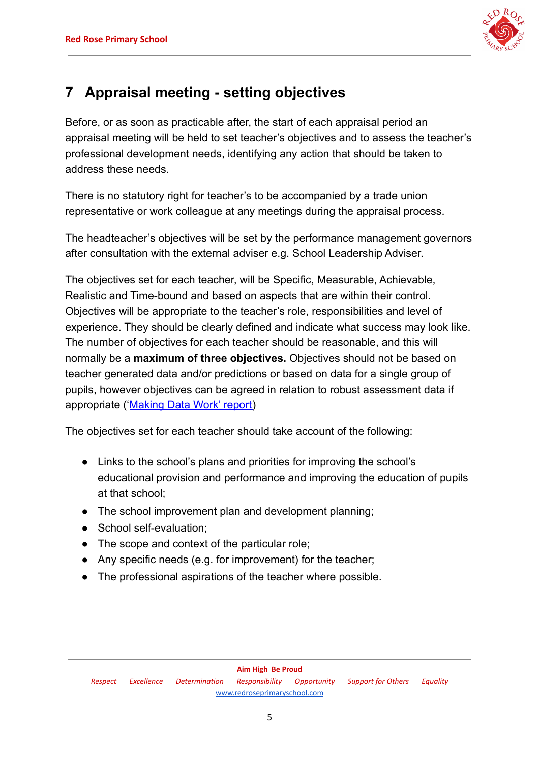

# **7 Appraisal meeting - setting objectives**

Before, or as soon as practicable after, the start of each appraisal period an appraisal meeting will be held to set teacher's objectives and to assess the teacher's professional development needs, identifying any action that should be taken to address these needs.

There is no statutory right for teacher's to be accompanied by a trade union representative or work colleague at any meetings during the appraisal process.

The headteacher's objectives will be set by the performance management governors after consultation with the external adviser e.g. School Leadership Adviser.

The objectives set for each teacher, will be Specific, Measurable, Achievable, Realistic and Time-bound and based on aspects that are within their control. Objectives will be appropriate to the teacher's role, responsibilities and level of experience. They should be clearly defined and indicate what success may look like. The number of objectives for each teacher should be reasonable, and this will normally be a **maximum of three objectives.** Objectives should not be based on teacher generated data and/or predictions or based on data for a single group of pupils, however objectives can be agreed in relation to robust assessment data if appropriate ('[Making Data Work' report\)](https://assets.publishing.service.gov.uk/government/uploads/system/uploads/attachment_data/file/754349/Workload_Advisory_Group-report.pdf)

The objectives set for each teacher should take account of the following:

- Links to the school's plans and priorities for improving the school's educational provision and performance and improving the education of pupils at that school;
- The school improvement plan and development planning;
- School self-evaluation;
- The scope and context of the particular role;
- Any specific needs (e.g. for improvement) for the teacher;
- The professional aspirations of the teacher where possible.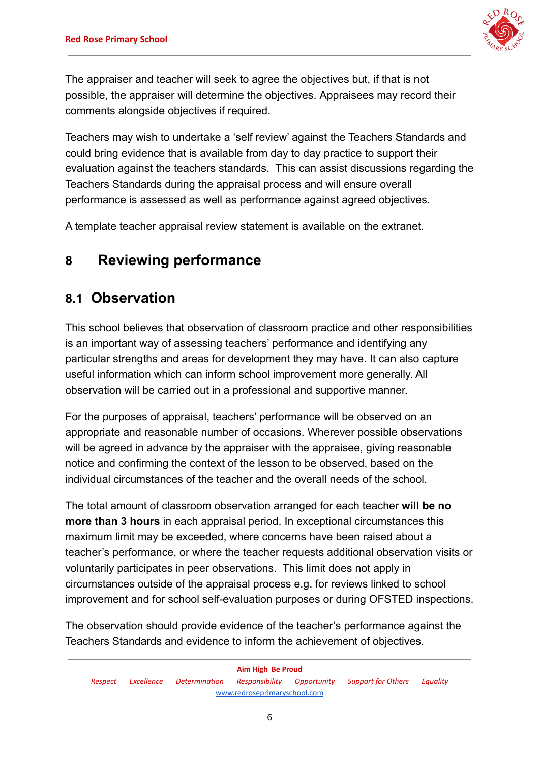

The appraiser and teacher will seek to agree the objectives but, if that is not possible, the appraiser will determine the objectives. Appraisees may record their comments alongside objectives if required.

Teachers may wish to undertake a 'self review' against the Teachers Standards and could bring evidence that is available from day to day practice to support their evaluation against the teachers standards. This can assist discussions regarding the Teachers Standards during the appraisal process and will ensure overall performance is assessed as well as performance against agreed objectives.

A template teacher appraisal review statement is available on the extranet.

### **8 Reviewing performance**

### **8.1 Observation**

This school believes that observation of classroom practice and other responsibilities is an important way of assessing teachers' performance and identifying any particular strengths and areas for development they may have. It can also capture useful information which can inform school improvement more generally. All observation will be carried out in a professional and supportive manner.

For the purposes of appraisal, teachers' performance will be observed on an appropriate and reasonable number of occasions. Wherever possible observations will be agreed in advance by the appraiser with the appraisee, giving reasonable notice and confirming the context of the lesson to be observed, based on the individual circumstances of the teacher and the overall needs of the school.

The total amount of classroom observation arranged for each teacher **will be no more than 3 hours** in each appraisal period. In exceptional circumstances this maximum limit may be exceeded, where concerns have been raised about a teacher's performance, or where the teacher requests additional observation visits or voluntarily participates in peer observations. This limit does not apply in circumstances outside of the appraisal process e.g. for reviews linked to school improvement and for school self-evaluation purposes or during OFSTED inspections.

The observation should provide evidence of the teacher's performance against the Teachers Standards and evidence to inform the achievement of objectives.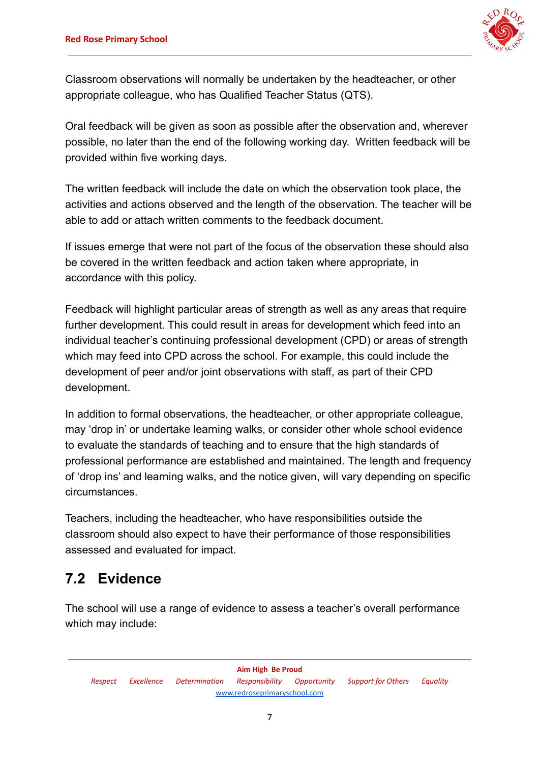

Classroom observations will normally be undertaken by the headteacher, or other appropriate colleague, who has Qualified Teacher Status (QTS).

Oral feedback will be given as soon as possible after the observation and, wherever possible, no later than the end of the following working day. Written feedback will be provided within five working days.

The written feedback will include the date on which the observation took place, the activities and actions observed and the length of the observation. The teacher will be able to add or attach written comments to the feedback document.

If issues emerge that were not part of the focus of the observation these should also be covered in the written feedback and action taken where appropriate, in accordance with this policy.

Feedback will highlight particular areas of strength as well as any areas that require further development. This could result in areas for development which feed into an individual teacher's continuing professional development (CPD) or areas of strength which may feed into CPD across the school. For example, this could include the development of peer and/or joint observations with staff, as part of their CPD development.

In addition to formal observations, the headteacher, or other appropriate colleague, may 'drop in' or undertake learning walks, or consider other whole school evidence to evaluate the standards of teaching and to ensure that the high standards of professional performance are established and maintained. The length and frequency of 'drop ins' and learning walks, and the notice given, will vary depending on specific circumstances.

Teachers, including the headteacher, who have responsibilities outside the classroom should also expect to have their performance of those responsibilities assessed and evaluated for impact.

## **7.2 Evidence**

The school will use a range of evidence to assess a teacher's overall performance which may include: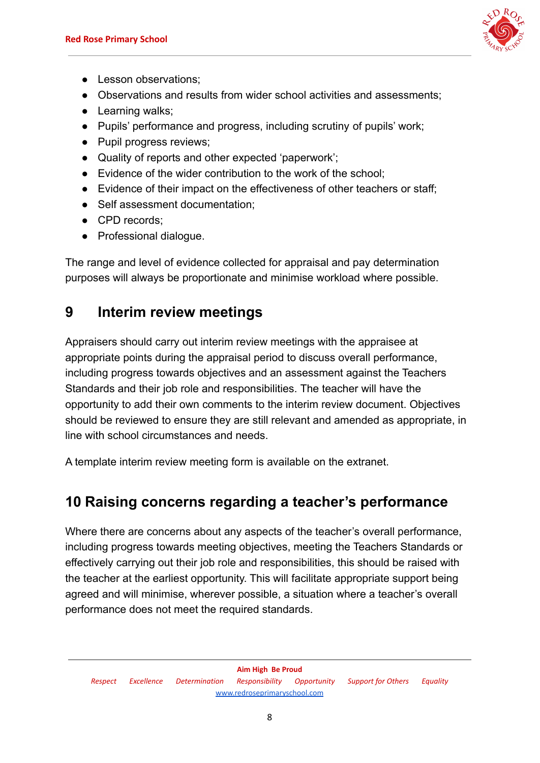

- Lesson observations:
- Observations and results from wider school activities and assessments;
- Learning walks;
- Pupils' performance and progress, including scrutiny of pupils' work;
- Pupil progress reviews;
- Quality of reports and other expected 'paperwork';
- Evidence of the wider contribution to the work of the school;
- Evidence of their impact on the effectiveness of other teachers or staff;
- Self assessment documentation;
- CPD records;
- Professional dialogue.

The range and level of evidence collected for appraisal and pay determination purposes will always be proportionate and minimise workload where possible.

## **9 Interim review meetings**

Appraisers should carry out interim review meetings with the appraisee at appropriate points during the appraisal period to discuss overall performance, including progress towards objectives and an assessment against the Teachers Standards and their job role and responsibilities. The teacher will have the opportunity to add their own comments to the interim review document. Objectives should be reviewed to ensure they are still relevant and amended as appropriate, in line with school circumstances and needs.

A template interim review meeting form is available on the extranet.

## **10 Raising concerns regarding a teacher's performance**

Where there are concerns about any aspects of the teacher's overall performance, including progress towards meeting objectives, meeting the Teachers Standards or effectively carrying out their job role and responsibilities, this should be raised with the teacher at the earliest opportunity. This will facilitate appropriate support being agreed and will minimise, wherever possible, a situation where a teacher's overall performance does not meet the required standards.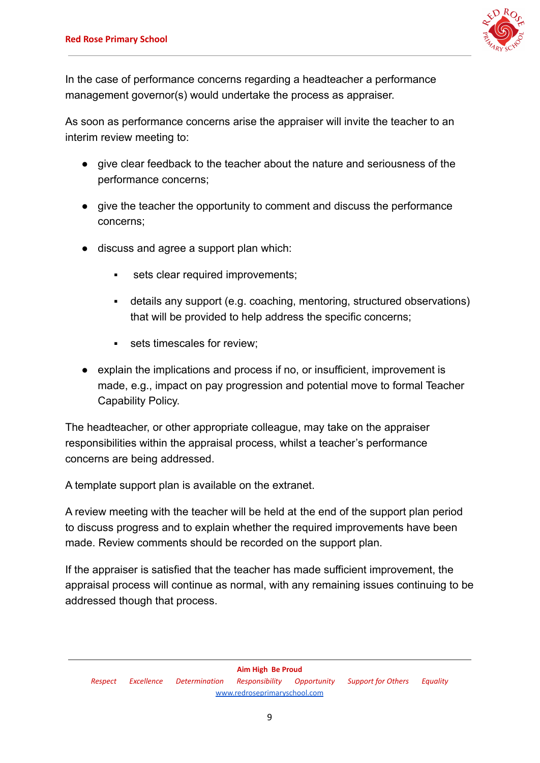

In the case of performance concerns regarding a headteacher a performance management governor(s) would undertake the process as appraiser.

As soon as performance concerns arise the appraiser will invite the teacher to an interim review meeting to:

- give clear feedback to the teacher about the nature and seriousness of the performance concerns;
- give the teacher the opportunity to comment and discuss the performance concerns;
- discuss and agree a support plan which:
	- sets clear required improvements;
	- details any support (e.g. coaching, mentoring, structured observations) that will be provided to help address the specific concerns;
	- sets timescales for review;
- explain the implications and process if no, or insufficient, improvement is made, e.g., impact on pay progression and potential move to formal Teacher Capability Policy.

The headteacher, or other appropriate colleague, may take on the appraiser responsibilities within the appraisal process, whilst a teacher's performance concerns are being addressed.

A template support plan is available on the extranet.

A review meeting with the teacher will be held at the end of the support plan period to discuss progress and to explain whether the required improvements have been made. Review comments should be recorded on the support plan.

If the appraiser is satisfied that the teacher has made sufficient improvement, the appraisal process will continue as normal, with any remaining issues continuing to be addressed though that process.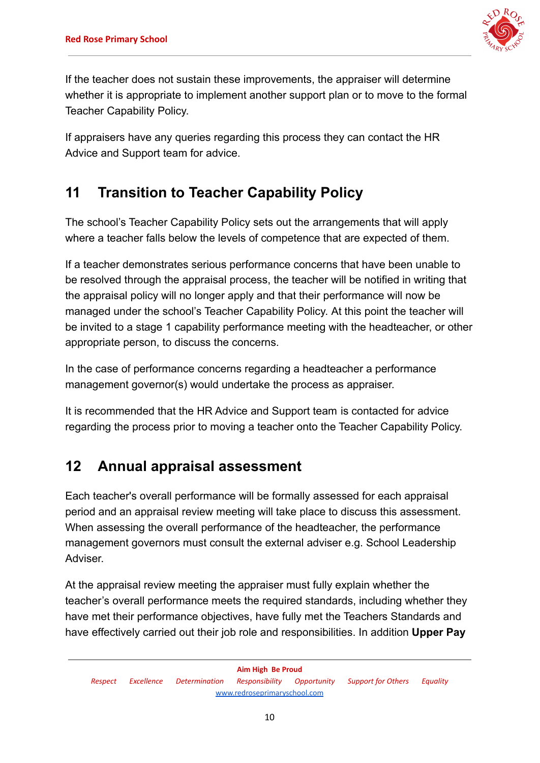

If the teacher does not sustain these improvements, the appraiser will determine whether it is appropriate to implement another support plan or to move to the formal Teacher Capability Policy.

If appraisers have any queries regarding this process they can contact the HR Advice and Support team for advice.

## **11 Transition to Teacher Capability Policy**

The school's Teacher Capability Policy sets out the arrangements that will apply where a teacher falls below the levels of competence that are expected of them.

If a teacher demonstrates serious performance concerns that have been unable to be resolved through the appraisal process, the teacher will be notified in writing that the appraisal policy will no longer apply and that their performance will now be managed under the school's Teacher Capability Policy. At this point the teacher will be invited to a stage 1 capability performance meeting with the headteacher, or other appropriate person, to discuss the concerns.

In the case of performance concerns regarding a headteacher a performance management governor(s) would undertake the process as appraiser.

It is recommended that the HR Advice and Support team is contacted for advice regarding the process prior to moving a teacher onto the Teacher Capability Policy.

# **12 Annual appraisal assessment**

Each teacher's overall performance will be formally assessed for each appraisal period and an appraisal review meeting will take place to discuss this assessment. When assessing the overall performance of the headteacher, the performance management governors must consult the external adviser e.g. School Leadership Adviser.

At the appraisal review meeting the appraiser must fully explain whether the teacher's overall performance meets the required standards, including whether they have met their performance objectives, have fully met the Teachers Standards and have effectively carried out their job role and responsibilities. In addition **Upper Pay**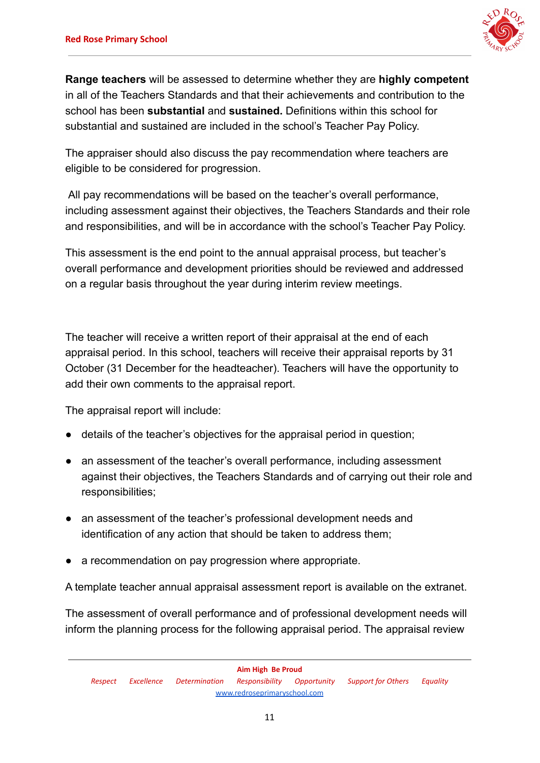

**Range teachers** will be assessed to determine whether they are **highly competent** in all of the Teachers Standards and that their achievements and contribution to the school has been **substantial** and **sustained.** Definitions within this school for substantial and sustained are included in the school's Teacher Pay Policy.

The appraiser should also discuss the pay recommendation where teachers are eligible to be considered for progression.

All pay recommendations will be based on the teacher's overall performance, including assessment against their objectives, the Teachers Standards and their role and responsibilities, and will be in accordance with the school's Teacher Pay Policy.

This assessment is the end point to the annual appraisal process, but teacher's overall performance and development priorities should be reviewed and addressed on a regular basis throughout the year during interim review meetings.

The teacher will receive a written report of their appraisal at the end of each appraisal period. In this school, teachers will receive their appraisal reports by 31 October (31 December for the headteacher). Teachers will have the opportunity to add their own comments to the appraisal report.

The appraisal report will include:

- details of the teacher's objectives for the appraisal period in question;
- an assessment of the teacher's overall performance, including assessment against their objectives, the Teachers Standards and of carrying out their role and responsibilities;
- an assessment of the teacher's professional development needs and identification of any action that should be taken to address them;
- *●* a recommendation on pay progression where appropriate.

A template teacher annual appraisal assessment report is available on the extranet.

The assessment of overall performance and of professional development needs will inform the planning process for the following appraisal period. The appraisal review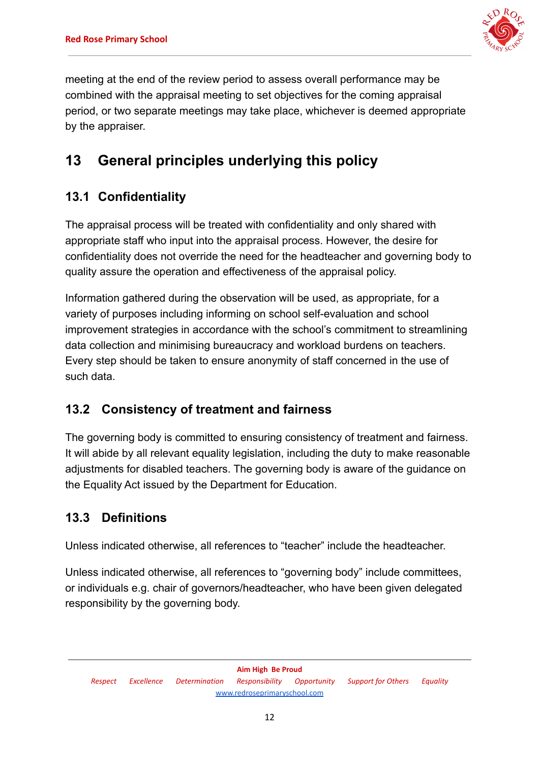

meeting at the end of the review period to assess overall performance may be combined with the appraisal meeting to set objectives for the coming appraisal period, or two separate meetings may take place, whichever is deemed appropriate by the appraiser.

# **13 General principles underlying this policy**

#### **13.1 Confidentiality**

The appraisal process will be treated with confidentiality and only shared with appropriate staff who input into the appraisal process. However, the desire for confidentiality does not override the need for the headteacher and governing body to quality assure the operation and effectiveness of the appraisal policy.

Information gathered during the observation will be used, as appropriate, for a variety of purposes including informing on school self-evaluation and school improvement strategies in accordance with the school's commitment to streamlining data collection and minimising bureaucracy and workload burdens on teachers. Every step should be taken to ensure anonymity of staff concerned in the use of such data.

#### **13.2 Consistency of treatment and fairness**

The governing body is committed to ensuring consistency of treatment and fairness. It will abide by all relevant equality legislation, including the duty to make reasonable adjustments for disabled teachers. The governing body is aware of the guidance on the Equality Act issued by the Department for Education.

#### **13.3 Definitions**

Unless indicated otherwise, all references to "teacher" include the headteacher.

Unless indicated otherwise, all references to "governing body" include committees, or individuals e.g. chair of governors/headteacher, who have been given delegated responsibility by the governing body.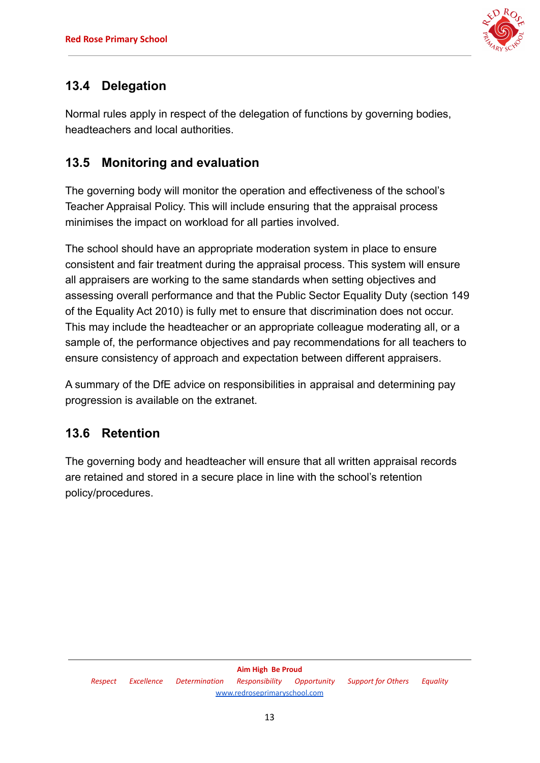

#### **13.4 Delegation**

Normal rules apply in respect of the delegation of functions by governing bodies, headteachers and local authorities.

#### **13.5 Monitoring and evaluation**

The governing body will monitor the operation and effectiveness of the school's Teacher Appraisal Policy. This will include ensuring that the appraisal process minimises the impact on workload for all parties involved.

The school should have an appropriate moderation system in place to ensure consistent and fair treatment during the appraisal process. This system will ensure all appraisers are working to the same standards when setting objectives and assessing overall performance and that the Public Sector Equality Duty (section 149 of the Equality Act 2010) is fully met to ensure that discrimination does not occur. This may include the headteacher or an appropriate colleague moderating all, or a sample of, the performance objectives and pay recommendations for all teachers to ensure consistency of approach and expectation between different appraisers.

A summary of the DfE advice on responsibilities in appraisal and determining pay progression is available on the extranet.

#### **13.6 Retention**

The governing body and headteacher will ensure that all written appraisal records are retained and stored in a secure place in line with the school's retention policy/procedures.